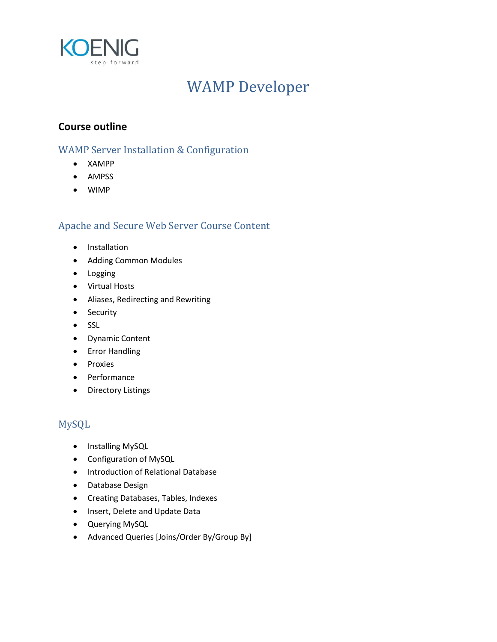

# WAMP Developer

### **Course outline**

#### WAMP Server Installation & Configuration

- XAMPP
- AMPSS
- WIMP

### Apache and Secure Web Server Course Content

- **•** Installation
- Adding Common Modules
- **•** Logging
- Virtual Hosts
- Aliases, Redirecting and Rewriting
- Security
- SSL
- Dynamic Content
- Error Handling
- Proxies
- Performance
- Directory Listings

## MySQL

- Installing MySQL
- Configuration of MySQL
- **•** Introduction of Relational Database
- Database Design
- Creating Databases, Tables, Indexes
- Insert, Delete and Update Data
- Querying MySQL
- Advanced Queries [Joins/Order By/Group By]